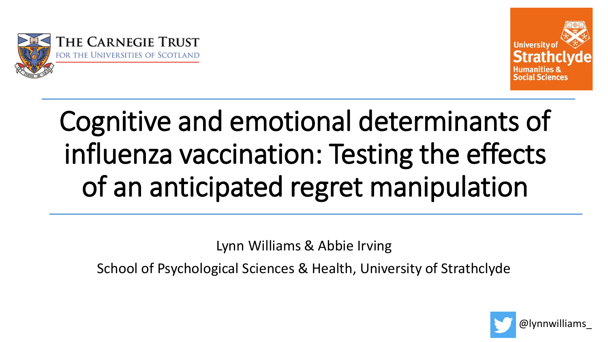



# Cognitive and emotional determinants of influenza vaccination: Testing the effects of an anticipated regret manipulation

Lynn Williams & Abbie Irving

School of Psychological Sciences & Health, University of Strathclyde

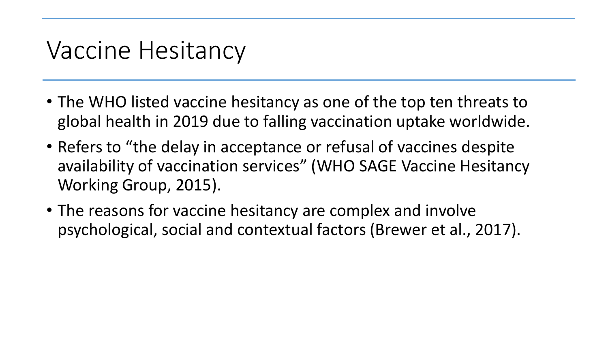#### Vaccine Hesitancy

- The WHO listed vaccine hesitancy as one of the top ten threats to global health in 2019 due to falling vaccination uptake worldwide.
- Refers to "the delay in acceptance or refusal of vaccines despite availability of vaccination services" (WHO SAGE Vaccine Hesitancy Working Group, 2015).
- The reasons for vaccine hesitancy are complex and involve psychological, social and contextual factors (Brewer et al., 2017).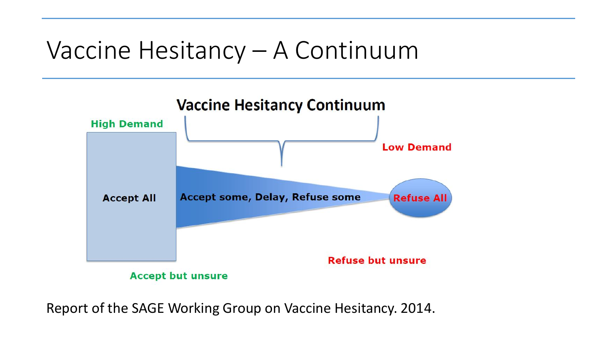#### Vaccine Hesitancy – A Continuum



Report of the SAGE Working Group on Vaccine Hesitancy. 2014.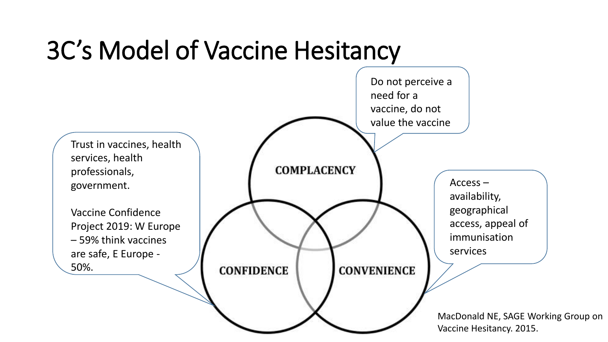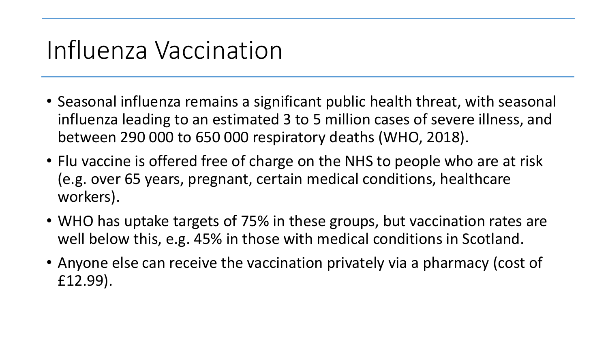### Influenza Vaccination

- Seasonal influenza remains a significant public health threat, with seasonal influenza leading to an estimated 3 to 5 million cases of severe illness, and between 290 000 to 650 000 respiratory deaths (WHO, 2018).
- Flu vaccine is offered free of charge on the NHS to people who are at risk (e.g. over 65 years, pregnant, certain medical conditions, healthcare workers).
- WHO has uptake targets of 75% in these groups, but vaccination rates are well below this, e.g. 45% in those with medical conditions in Scotland.
- Anyone else can receive the vaccination privately via a pharmacy (cost of £12.99).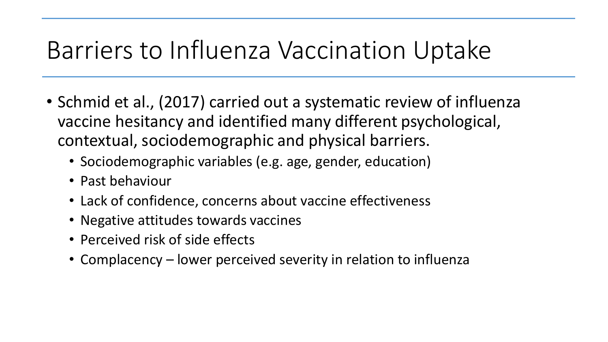#### Barriers to Influenza Vaccination Uptake

- Schmid et al., (2017) carried out a systematic review of influenza vaccine hesitancy and identified many different psychological, contextual, sociodemographic and physical barriers.
	- Sociodemographic variables (e.g. age, gender, education)
	- Past behaviour
	- Lack of confidence, concerns about vaccine effectiveness
	- Negative attitudes towards vaccines
	- Perceived risk of side effects
	- Complacency lower perceived severity in relation to influenza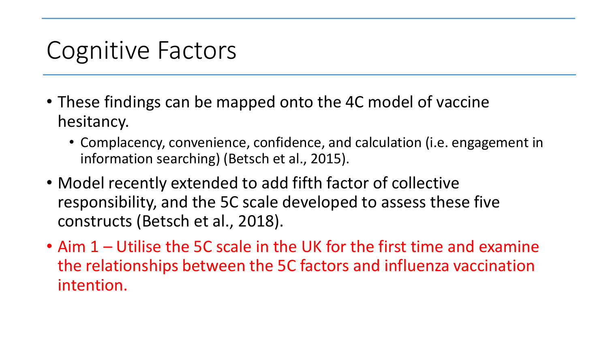### Cognitive Factors

- These findings can be mapped onto the 4C model of vaccine hesitancy.
	- Complacency, convenience, confidence, and calculation (i.e. engagement in information searching) (Betsch et al., 2015).
- Model recently extended to add fifth factor of collective responsibility, and the 5C scale developed to assess these five constructs (Betsch et al., 2018).
- Aim 1 Utilise the 5C scale in the UK for the first time and examine the relationships between the 5C factors and influenza vaccination intention.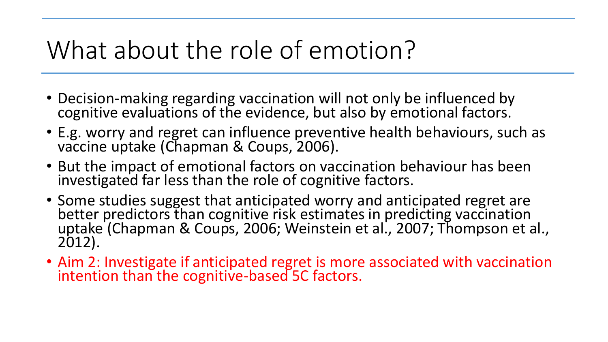### What about the role of emotion?

- Decision-making regarding vaccination will not only be influenced by cognitive evaluations of the evidence, but also by emotional factors.
- E.g. worry and regret can influence preventive health behaviours, such as vaccine uptake (Chapman & Coups, 2006).
- But the impact of emotional factors on vaccination behaviour has been investigated far less than the role of cognitive factors.
- Some studies suggest that anticipated worry and anticipated regret are better predictors than cognitive risk estimates in predicting vaccination uptake (Chapman & Coups, 2006; Weinstein et al., 2007; Thompson et al., 2012).
- Aim 2: Investigate if anticipated regret is more associated with vaccination intention than the cognitive-based 5C factors.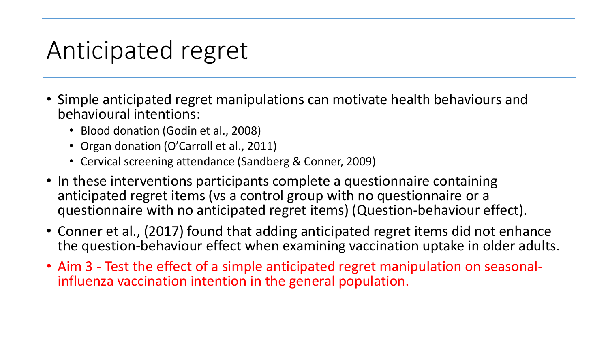#### Anticipated regret

- Simple anticipated regret manipulations can motivate health behaviours and behavioural intentions:
	- Blood donation (Godin et al., 2008)
	- Organ donation (O'Carroll et al., 2011)
	- Cervical screening attendance (Sandberg & Conner, 2009)
- In these interventions participants complete a questionnaire containing anticipated regret items (vs a control group with no questionnaire or a questionnaire with no anticipated regret items) (Question-behaviour effect).
- Conner et al., (2017) found that adding anticipated regret items did not enhance the question-behaviour effect when examining vaccination uptake in older adults.
- Aim 3 Test the effect of a simple anticipated regret manipulation on seasonalinfluenza vaccination intention in the general population.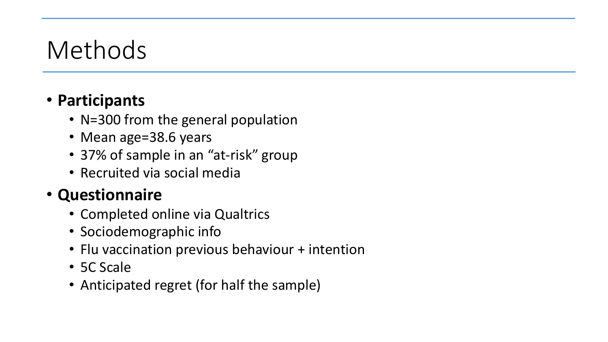### Methods

#### • **Participants**

- N=300 from the general population
- Mean age=38.6 years
- 37% of sample in an "at-risk" group
- Recruited via social media

#### • **Questionnaire**

- Completed online via Qualtrics
- Sociodemographic info
- Flu vaccination previous behaviour + intention
- 5C Scale
- Anticipated regret (for half the sample)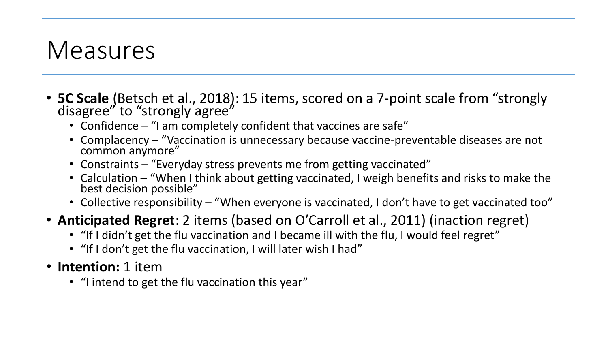#### Measures

- **5C Scale** (Betsch et al., 2018): 15 items, scored on a 7-point scale from "strongly disagree" to "strongly agree"
	- Confidence "I am completely confident that vaccines are safe"
	- Complacency "Vaccination is unnecessary because vaccine-preventable diseases are not common anymore"
	- Constraints "Everyday stress prevents me from getting vaccinated"
	- Calculation "When I think about getting vaccinated, I weigh benefits and risks to make the best decision possible"
	- Collective responsibility "When everyone is vaccinated, I don't have to get vaccinated too"
- **Anticipated Regret**: 2 items (based on O'Carroll et al., 2011) (inaction regret)
	- "If I didn't get the flu vaccination and I became ill with the flu, I would feel regret"
	- "If I don't get the flu vaccination, I will later wish I had"
- **Intention:** 1 item
	- "I intend to get the flu vaccination this year"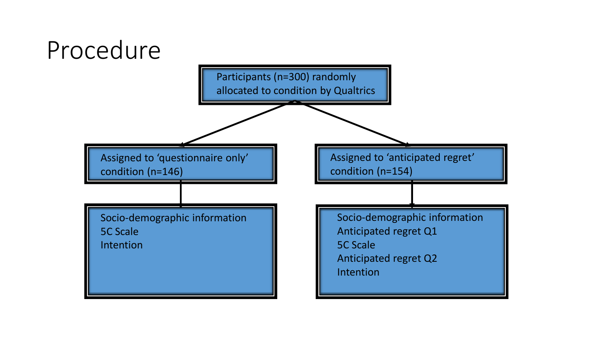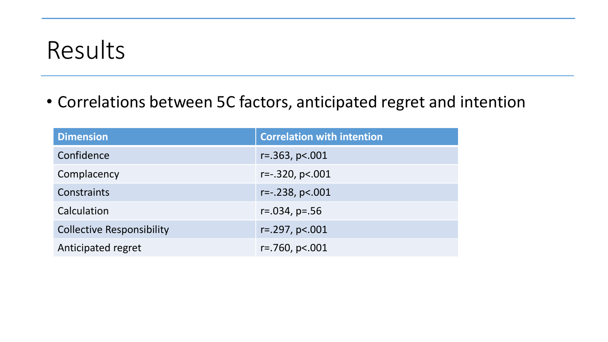#### Results

• Correlations between 5C factors, anticipated regret and intention

| <b>Dimension</b>                 | <b>Correlation with intention</b> |  |
|----------------------------------|-----------------------------------|--|
| Confidence                       | $r = 0.363$ , p< $0.001$          |  |
| Complacency                      | $r=-.320, p<.001$                 |  |
| Constraints                      | $r = -0.238$ , $p < 0.001$        |  |
| Calculation                      | $r = .034, p = .56$               |  |
| <b>Collective Responsibility</b> | $r = 297, p < 001$                |  |
| Anticipated regret               | $r = 760$ , $p < 001$             |  |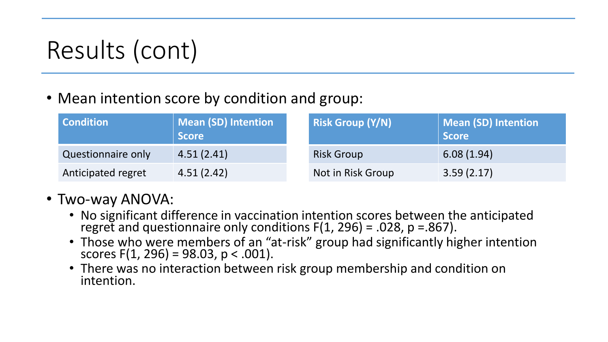## Results (cont)

• Mean intention score by condition and group:

| <b>Condition</b>   | Mean (SD) Intention<br><b>Score</b> |  | <b>Risk Group (Y/N)</b> | Mean (SD) Intention<br><b>Score</b> |
|--------------------|-------------------------------------|--|-------------------------|-------------------------------------|
| Questionnaire only | 4.51(2.41)                          |  | <b>Risk Group</b>       | 6.08(1.94)                          |
| Anticipated regret | 4.51(2.42)                          |  | Not in Risk Group       | 3.59(2.17)                          |

- Two-way ANOVA:
	- No significant difference in vaccination intention scores between the anticipated regret and questionnaire only conditions  $F(1, 296) = .028$ ,  $p = .867$ ).
	- Those who were members of an "at-risk" group had significantly higher intention scores  $F(1, 296) = 98.03$ , p < .001).
	- There was no interaction between risk group membership and condition on intention.